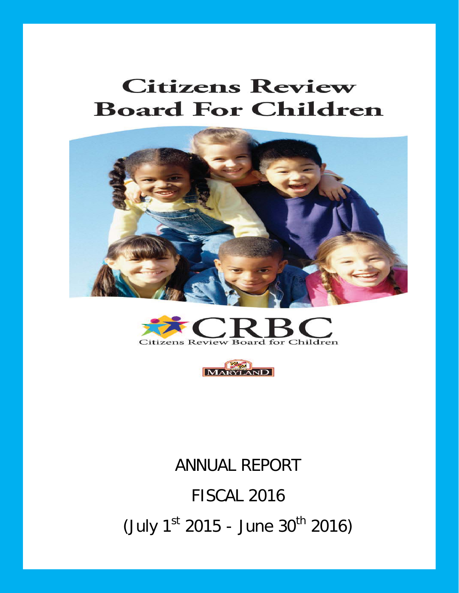# **Citizens Review Board For Children**







# ANNUAL REPORT FISCAL 2016  $($  July 1<sup>st</sup> 2015 - June 30<sup>th</sup> 2016)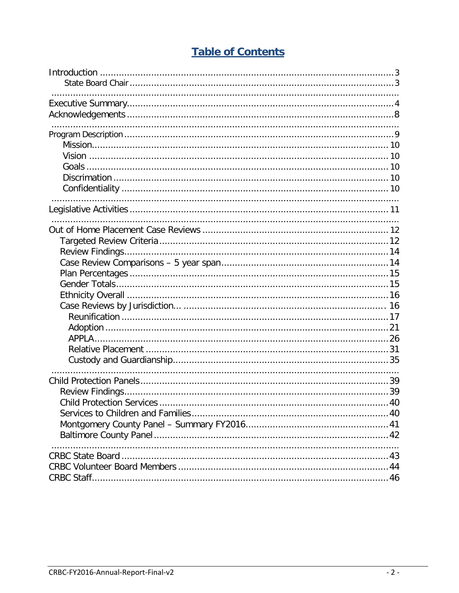# **Table of Contents**

| <b>Child Protection Services</b> | .40 |
|----------------------------------|-----|
|                                  |     |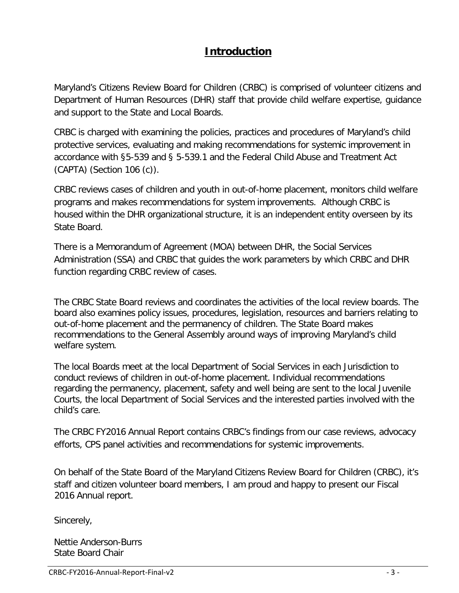# **Introduction**

Maryland's Citizens Review Board for Children (CRBC) is comprised of volunteer citizens and Department of Human Resources (DHR) staff that provide child welfare expertise, guidance and support to the State and Local Boards.

CRBC is charged with examining the policies, practices and procedures of Maryland's child protective services, evaluating and making recommendations for systemic improvement in accordance with §5-539 and § 5-539.1 and the Federal Child Abuse and Treatment Act (CAPTA) (Section 106 (c)).

CRBC reviews cases of children and youth in out-of-home placement, monitors child welfare programs and makes recommendations for system improvements. Although CRBC is housed within the DHR organizational structure, it is an independent entity overseen by its State Board.

There is a Memorandum of Agreement (MOA) between DHR, the Social Services Administration (SSA) and CRBC that guides the work parameters by which CRBC and DHR function regarding CRBC review of cases.

The CRBC State Board reviews and coordinates the activities of the local review boards. The board also examines policy issues, procedures, legislation, resources and barriers relating to out-of-home placement and the permanency of children. The State Board makes recommendations to the General Assembly around ways of improving Maryland's child welfare system.

The local Boards meet at the local Department of Social Services in each Jurisdiction to conduct reviews of children in out-of-home placement. Individual recommendations regarding the permanency, placement, safety and well being are sent to the local Juvenile Courts, the local Department of Social Services and the interested parties involved with the child's care.

The CRBC FY2016 Annual Report contains CRBC's findings from our case reviews, advocacy efforts, CPS panel activities and recommendations for systemic improvements.

On behalf of the State Board of the Maryland Citizens Review Board for Children (CRBC), it's staff and citizen volunteer board members, I am proud and happy to present our Fiscal 2016 Annual report.

Sincerely,

Nettie Anderson-Burrs State Board Chair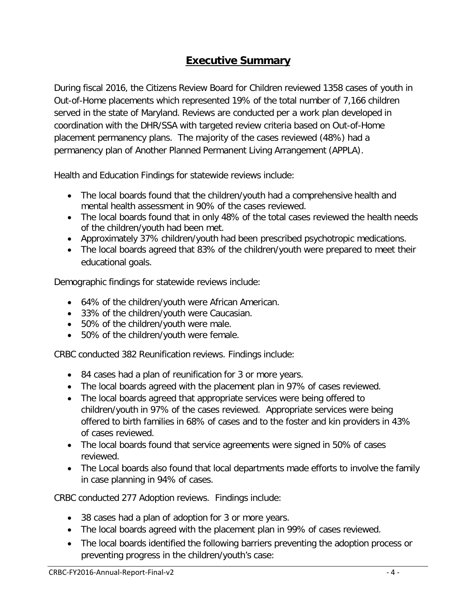# **Executive Summary**

During fiscal 2016, the Citizens Review Board for Children reviewed 1358 cases of youth in Out-of-Home placements which represented 19% of the total number of 7,166 children served in the state of Maryland. Reviews are conducted per a work plan developed in coordination with the DHR/SSA with targeted review criteria based on Out-of-Home placement permanency plans. The majority of the cases reviewed (48%) had a permanency plan of Another Planned Permanent Living Arrangement (APPLA).

Health and Education Findings for statewide reviews include:

- The local boards found that the children/youth had a comprehensive health and mental health assessment in 90% of the cases reviewed.
- The local boards found that in only 48% of the total cases reviewed the health needs of the children/youth had been met.
- Approximately 37% children/youth had been prescribed psychotropic medications.
- The local boards agreed that 83% of the children/youth were prepared to meet their educational goals.

Demographic findings for statewide reviews include:

- 64% of the children/youth were African American.
- 33% of the children/youth were Caucasian.
- 50% of the children/youth were male.
- 50% of the children/youth were female.

CRBC conducted 382 Reunification reviews. Findings include:

- 84 cases had a plan of reunification for 3 or more years.
- The local boards agreed with the placement plan in 97% of cases reviewed.
- The local boards agreed that appropriate services were being offered to children/youth in 97% of the cases reviewed. Appropriate services were being offered to birth families in 68% of cases and to the foster and kin providers in 43% of cases reviewed.
- The local boards found that service agreements were signed in 50% of cases reviewed.
- The Local boards also found that local departments made efforts to involve the family in case planning in 94% of cases.

CRBC conducted 277 Adoption reviews. Findings include:

- 38 cases had a plan of adoption for 3 or more years.
- The local boards agreed with the placement plan in 99% of cases reviewed.
- The local boards identified the following barriers preventing the adoption process or preventing progress in the children/youth's case: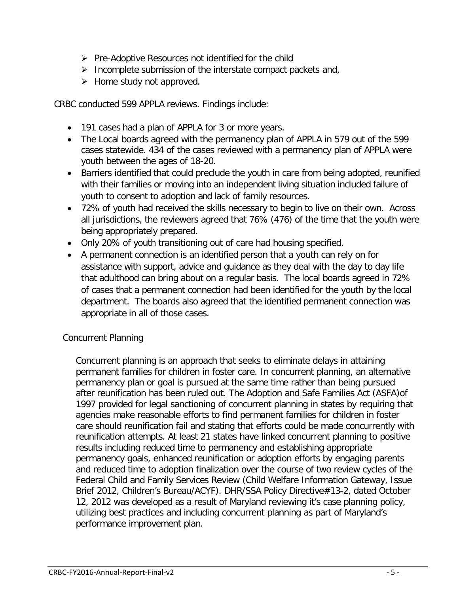- $\triangleright$  Pre-Adoptive Resources not identified for the child
- $\triangleright$  Incomplete submission of the interstate compact packets and,
- $\triangleright$  Home study not approved.

CRBC conducted 599 APPLA reviews. Findings include:

- 191 cases had a plan of APPLA for 3 or more years.
- The Local boards agreed with the permanency plan of APPLA in 579 out of the 599 cases statewide. 434 of the cases reviewed with a permanency plan of APPLA were youth between the ages of 18-20.
- Barriers identified that could preclude the youth in care from being adopted, reunified with their families or moving into an independent living situation included failure of youth to consent to adoption and lack of family resources.
- 72% of youth had received the skills necessary to begin to live on their own. Across all jurisdictions, the reviewers agreed that 76% (476) of the time that the youth were being appropriately prepared.
- Only 20% of youth transitioning out of care had housing specified.
- A permanent connection is an identified person that a youth can rely on for assistance with support, advice and guidance as they deal with the day to day life that adulthood can bring about on a regular basis. The local boards agreed in 72% of cases that a permanent connection had been identified for the youth by the local department. The boards also agreed that the identified permanent connection was appropriate in all of those cases.

#### Concurrent Planning

Concurrent planning is an approach that seeks to eliminate delays in attaining permanent families for children in foster care. In concurrent planning, an alternative permanency plan or goal is pursued at the same time rather than being pursued after reunification has been ruled out. The Adoption and Safe Families Act (ASFA)of 1997 provided for legal sanctioning of concurrent planning in states by requiring that agencies make reasonable efforts to find permanent families for children in foster care should reunification fail and stating that efforts could be made concurrently with reunification attempts. At least 21 states have linked concurrent planning to positive results including reduced time to permanency and establishing appropriate permanency goals, enhanced reunification or adoption efforts by engaging parents and reduced time to adoption finalization over the course of two review cycles of the Federal Child and Family Services Review (Child Welfare Information Gateway, Issue Brief 2012, Children's Bureau/ACYF). DHR/SSA Policy Directive#13-2, dated October 12, 2012 was developed as a result of Maryland reviewing it's case planning policy, utilizing best practices and including concurrent planning as part of Maryland's performance improvement plan.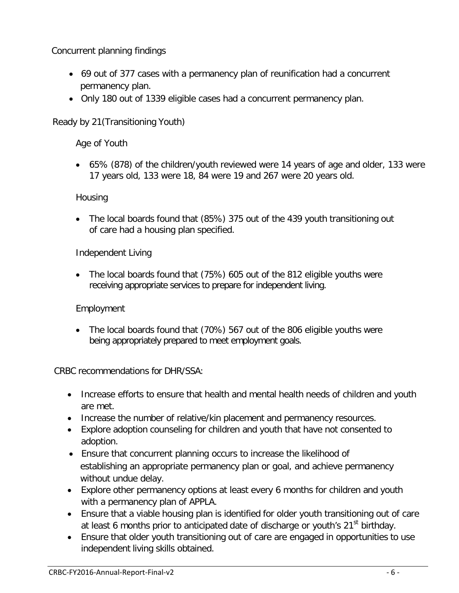Concurrent planning findings

- 69 out of 377 cases with a permanency plan of reunification had a concurrent permanency plan.
- Only 180 out of 1339 eligible cases had a concurrent permanency plan.

Ready by 21(Transitioning Youth)

Age of Youth

• 65% (878) of the children/youth reviewed were 14 years of age and older, 133 were 17 years old, 133 were 18, 84 were 19 and 267 were 20 years old.

## **Housing**

• The local boards found that (85%) 375 out of the 439 youth transitioning out of care had a housing plan specified.

Independent Living

• The local boards found that (75%) 605 out of the 812 eligible youths were receiving appropriate services to prepare for independent living.

Employment

• The local boards found that (70%) 567 out of the 806 eligible youths were being appropriately prepared to meet employment goals.

CRBC recommendations for DHR/SSA:

- Increase efforts to ensure that health and mental health needs of children and youth are met.
- Increase the number of relative/kin placement and permanency resources.
- Explore adoption counseling for children and youth that have not consented to adoption.
- Ensure that concurrent planning occurs to increase the likelihood of establishing an appropriate permanency plan or goal, and achieve permanency without undue delay.
- Explore other permanency options at least every 6 months for children and youth with a permanency plan of APPLA.
- Ensure that a viable housing plan is identified for older youth transitioning out of care at least 6 months prior to anticipated date of discharge or youth's 21<sup>st</sup> birthday.
- Ensure that older youth transitioning out of care are engaged in opportunities to use independent living skills obtained.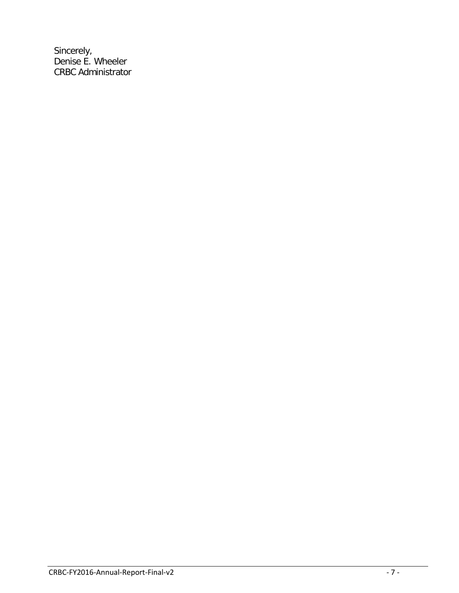Sincerely, Denise E. Wheeler CRBC Administrator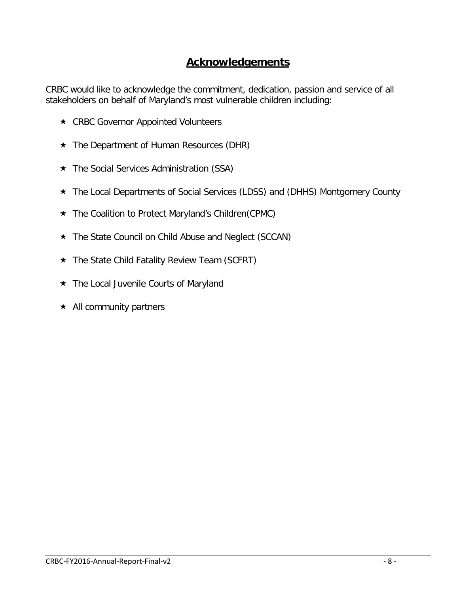## **Acknowledgements**

CRBC would like to acknowledge the commitment, dedication, passion and service of all stakeholders on behalf of Maryland's most vulnerable children including:

- ★ CRBC Governor Appointed Volunteers
- The Department of Human Resources (DHR)
- The Social Services Administration (SSA)
- The Local Departments of Social Services (LDSS) and (DHHS) Montgomery County
- ★ The Coalition to Protect Maryland's Children(CPMC)
- ★ The State Council on Child Abuse and Neglect (SCCAN)
- ★ The State Child Fatality Review Team (SCFRT)
- ★ The Local Juvenile Courts of Maryland
- $\star$  All community partners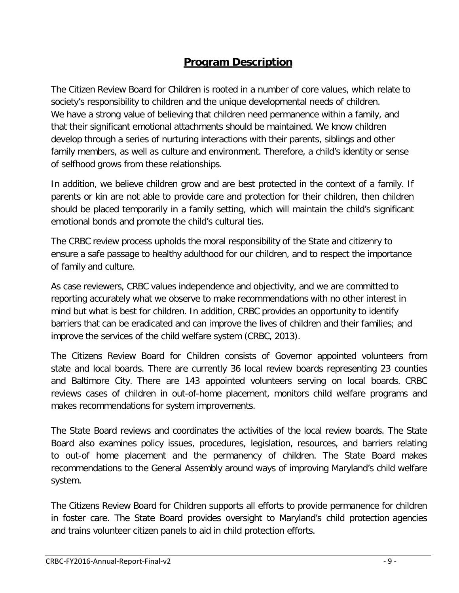# **Program Description**

The Citizen Review Board for Children is rooted in a number of core values, which relate to society's responsibility to children and the unique developmental needs of children. We have a strong value of believing that children need permanence within a family, and that their significant emotional attachments should be maintained. We know children develop through a series of nurturing interactions with their parents, siblings and other family members, as well as culture and environment. Therefore, a child's identity or sense of selfhood grows from these relationships.

In addition, we believe children grow and are best protected in the context of a family. If parents or kin are not able to provide care and protection for their children, then children should be placed temporarily in a family setting, which will maintain the child's significant emotional bonds and promote the child's cultural ties.

The CRBC review process upholds the moral responsibility of the State and citizenry to ensure a safe passage to healthy adulthood for our children, and to respect the importance of family and culture.

As case reviewers, CRBC values independence and objectivity, and we are committed to reporting accurately what we observe to make recommendations with no other interest in mind but what is best for children. In addition, CRBC provides an opportunity to identify barriers that can be eradicated and can improve the lives of children and their families; and improve the services of the child welfare system (CRBC, 2013).

The Citizens Review Board for Children consists of Governor appointed volunteers from state and local boards. There are currently 36 local review boards representing 23 counties and Baltimore City. There are 143 appointed volunteers serving on local boards. CRBC reviews cases of children in out-of-home placement, monitors child welfare programs and makes recommendations for system improvements.

The State Board reviews and coordinates the activities of the local review boards. The State Board also examines policy issues, procedures, legislation, resources, and barriers relating to out-of home placement and the permanency of children. The State Board makes recommendations to the General Assembly around ways of improving Maryland's child welfare system.

The Citizens Review Board for Children supports all efforts to provide permanence for children in foster care. The State Board provides oversight to Maryland's child protection agencies and trains volunteer citizen panels to aid in child protection efforts.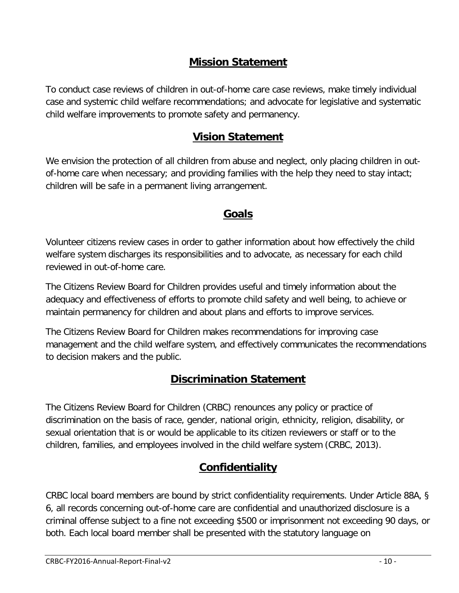# **Mission Statement**

<span id="page-9-0"></span>To conduct case reviews of children in out-of-home care case reviews, make timely individual case and systemic child welfare recommendations; and advocate for legislative and systematic child welfare improvements to promote safety and permanency.

# **Vision Statement**

<span id="page-9-1"></span>We envision the protection of all children from abuse and neglect, only placing children in outof-home care when necessary; and providing families with the help they need to stay intact; children will be safe in a permanent living arrangement.

# **Goals**

Volunteer citizens review cases in order to gather information about how effectively the child welfare system discharges its responsibilities and to advocate, as necessary for each child reviewed in out-of-home care.

The Citizens Review Board for Children provides useful and timely information about the adequacy and effectiveness of efforts to promote child safety and well being, to achieve or maintain permanency for children and about plans and efforts to improve services.

The Citizens Review Board for Children makes recommendations for improving case management and the child welfare system, and effectively communicates the recommendations to decision makers and the public.

# **Discrimination Statement**

The Citizens Review Board for Children (CRBC) renounces any policy or practice of discrimination on the basis of race, gender, national origin, ethnicity, religion, disability, or sexual orientation that is or would be applicable to its citizen reviewers or staff or to the children, families, and employees involved in the child welfare system (CRBC, 2013).

# **Confidentiality**

CRBC local board members are bound by strict confidentiality requirements. Under Article 88A, § 6, all records concerning out-of-home care are confidential and unauthorized disclosure is a criminal offense subject to a fine not exceeding \$500 or imprisonment not exceeding 90 days, or both. Each local board member shall be presented with the statutory language on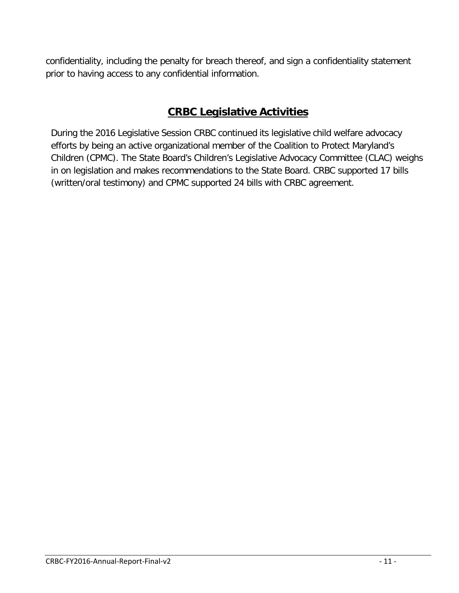confidentiality, including the penalty for breach thereof, and sign a confidentiality statement prior to having access to any confidential information.

# **CRBC Legislative Activities**

During the 2016 Legislative Session CRBC continued its legislative child welfare advocacy efforts by being an active organizational member of the Coalition to Protect Maryland's Children (CPMC). The State Board's Children's Legislative Advocacy Committee (CLAC) weighs in on legislation and makes recommendations to the State Board. CRBC supported 17 bills (written/oral testimony) and CPMC supported 24 bills with CRBC agreement.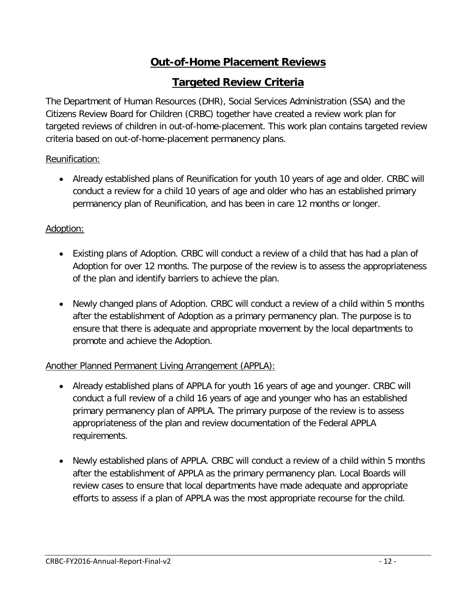# **Out-of-Home Placement Reviews**

## **Targeted Review Criteria**

The Department of Human Resources (DHR), Social Services Administration (SSA) and the Citizens Review Board for Children (CRBC) together have created a review work plan for targeted reviews of children in out-of-home-placement. This work plan contains targeted review criteria based on out-of-home-placement permanency plans.

#### Reunification:

• Already established plans of Reunification for youth 10 years of age and older. CRBC will conduct a review for a child 10 years of age and older who has an established primary permanency plan of Reunification, and has been in care 12 months or longer.

#### Adoption:

- Existing plans of Adoption. CRBC will conduct a review of a child that has had a plan of Adoption for over 12 months. The purpose of the review is to assess the appropriateness of the plan and identify barriers to achieve the plan.
- Newly changed plans of Adoption. CRBC will conduct a review of a child within 5 months after the establishment of Adoption as a primary permanency plan. The purpose is to ensure that there is adequate and appropriate movement by the local departments to promote and achieve the Adoption.

## Another Planned Permanent Living Arrangement (APPLA):

- Already established plans of APPLA for youth 16 years of age and younger. CRBC will conduct a full review of a child 16 years of age and younger who has an established primary permanency plan of APPLA. The primary purpose of the review is to assess appropriateness of the plan and review documentation of the Federal APPLA requirements.
- Newly established plans of APPLA. CRBC will conduct a review of a child within 5 months after the establishment of APPLA as the primary permanency plan. Local Boards will review cases to ensure that local departments have made adequate and appropriate efforts to assess if a plan of APPLA was the most appropriate recourse for the child.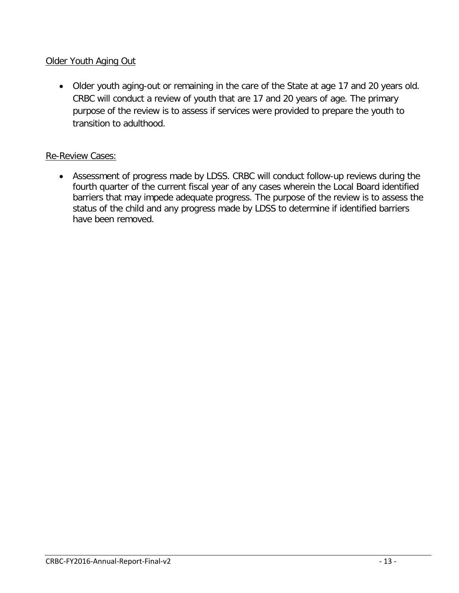#### Older Youth Aging Out

• Older youth aging-out or remaining in the care of the State at age 17 and 20 years old. CRBC will conduct a review of youth that are 17 and 20 years of age. The primary purpose of the review is to assess if services were provided to prepare the youth to transition to adulthood.

#### Re-Review Cases:

• Assessment of progress made by LDSS. CRBC will conduct follow-up reviews during the fourth quarter of the current fiscal year of any cases wherein the Local Board identified barriers that may impede adequate progress. The purpose of the review is to assess the status of the child and any progress made by LDSS to determine if identified barriers have been removed.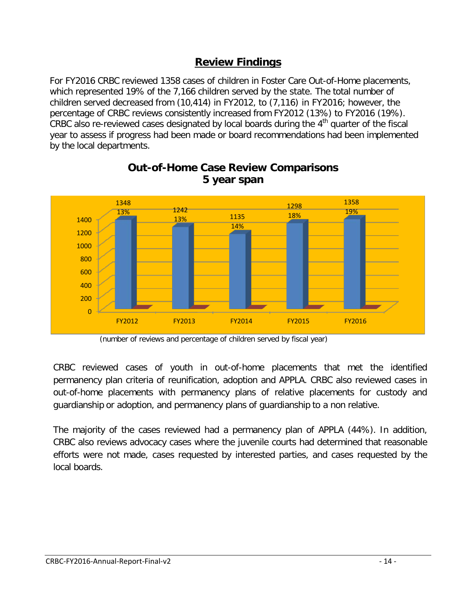## **Review Findings**

For FY2016 CRBC reviewed 1358 cases of children in Foster Care Out-of-Home placements, which represented 19% of the 7,166 children served by the state. The total number of children served decreased from (10,414) in FY2012, to (7,116) in FY2016; however, the percentage of CRBC reviews consistently increased from FY2012 (13%) to FY2016 (19%). CRBC also re-reviewed cases designated by local boards during the  $4<sup>th</sup>$  quarter of the fiscal year to assess if progress had been made or board recommendations had been implemented by the local departments.



## **Out-of-Home Case Review Comparisons 5 year span**

CRBC reviewed cases of youth in out-of-home placements that met the identified permanency plan criteria of reunification, adoption and APPLA. CRBC also reviewed cases in out-of-home placements with permanency plans of relative placements for custody and guardianship or adoption, and permanency plans of guardianship to a non relative.

The majority of the cases reviewed had a permanency plan of APPLA (44%). In addition, CRBC also reviews advocacy cases where the juvenile courts had determined that reasonable efforts were not made, cases requested by interested parties, and cases requested by the local boards.

<sup>(</sup>number of reviews and percentage of children served by fiscal year)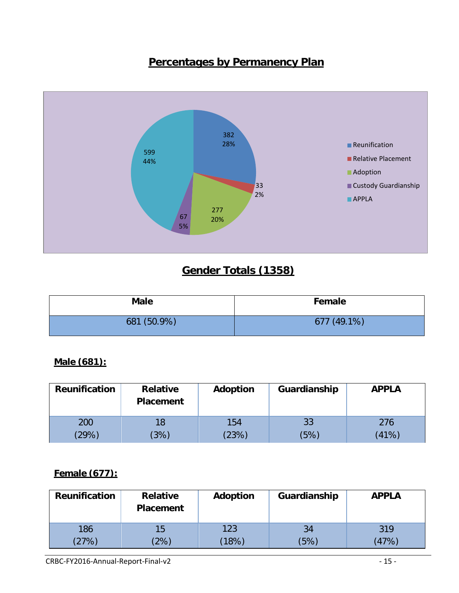# **Percentages by Permanency Plan**



# **Gender Totals (1358)**

| <b>Male</b> | Female      |
|-------------|-------------|
| 681 (50.9%) | 677 (49.1%) |

## **Male (681):**

| <b>Reunification</b> | <b>Relative</b><br><b>Placement</b> | Adoption | Guardianship | <b>APPLA</b> |
|----------------------|-------------------------------------|----------|--------------|--------------|
| 200                  | 18                                  | 154      | 33           | 276          |
| (29%)                | (3%)                                | (23%)    | (5%)         | (41%)        |

#### **Female (677):**

| <b>Reunification</b> | <b>Relative</b><br><b>Placement</b> | Adoption | Guardianship | <b>APPLA</b> |
|----------------------|-------------------------------------|----------|--------------|--------------|
| 186                  | 15                                  | 123      | 34           | 319          |
| $'27\%$              | $^{\prime}2\%$                      | (18%)    | (5%)         | (47%)        |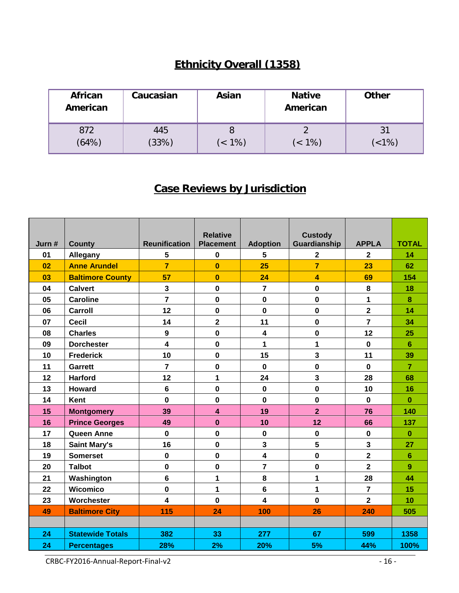# **Ethnicity Overall (1358)**

| <b>African</b><br>American | Caucasian    | Asian  | <b>Native</b><br>American | <b>Other</b>                |
|----------------------------|--------------|--------|---------------------------|-----------------------------|
| 872<br>(64%)               | 445<br>(33%) | (< 1%) | $($ < 1%)                 | 3 <sup>1</sup><br>$($ < 1%) |

# **Case Reviews by Jurisdiction**

| Jurn # | <b>County</b>           | <b>Reunification</b> | <b>Relative</b><br><b>Placement</b> | <b>Adoption</b>         | <b>Custody</b><br>Guardianship | <b>APPLA</b>            | <b>TOTAL</b>   |
|--------|-------------------------|----------------------|-------------------------------------|-------------------------|--------------------------------|-------------------------|----------------|
| 01     | Allegany                | 5                    | $\mathbf 0$                         | 5                       | $\overline{\mathbf{2}}$        | $\overline{2}$          | 14             |
| 02     | <b>Anne Arundel</b>     | $\overline{7}$       | $\mathbf{0}$                        | 25                      | $\overline{7}$                 | 23                      | 62             |
| 03     | <b>Baltimore County</b> | 57                   | $\mathbf{0}$                        | 24                      | 4                              | 69                      | 154            |
| 04     | <b>Calvert</b>          | $\mathbf{3}$         | $\pmb{0}$                           | $\overline{\mathbf{r}}$ | $\pmb{0}$                      | 8                       | 18             |
| 05     | <b>Caroline</b>         | $\overline{7}$       | $\mathbf 0$                         | $\mathbf 0$             | $\mathbf 0$                    | 1                       | 8              |
| 06     | <b>Carroll</b>          | 12                   | $\mathbf 0$                         | $\mathbf 0$             | $\mathbf 0$                    | $\overline{2}$          | 14             |
| 07     | <b>Cecil</b>            | 14                   | $\overline{\mathbf{2}}$             | 11                      | $\mathbf 0$                    | $\overline{7}$          | 34             |
| 08     | <b>Charles</b>          | $\boldsymbol{9}$     | $\mathbf 0$                         | 4                       | $\pmb{0}$                      | 12                      | 25             |
| 09     | <b>Dorchester</b>       | 4                    | $\mathbf 0$                         | $\mathbf{1}$            | 1                              | $\mathbf 0$             | $6\phantom{a}$ |
| 10     | <b>Frederick</b>        | 10                   | $\mathbf 0$                         | 15                      | 3                              | 11                      | 39             |
| 11     | <b>Garrett</b>          | $\overline{7}$       | $\mathbf 0$                         | $\mathbf 0$             | $\pmb{0}$                      | $\mathbf 0$             | $\overline{7}$ |
| 12     | <b>Harford</b>          | 12                   | 1                                   | 24                      | 3                              | 28                      | 68             |
| 13     | <b>Howard</b>           | $6\phantom{1}6$      | $\mathbf 0$                         | $\mathbf 0$             | $\mathbf 0$                    | 10                      | 16             |
| 14     | <b>Kent</b>             | $\mathbf 0$          | $\mathbf 0$                         | $\mathbf 0$             | $\mathbf 0$                    | $\mathbf 0$             | $\mathbf{0}$   |
| 15     | <b>Montgomery</b>       | 39                   | $\overline{\mathbf{4}}$             | 19                      | $\overline{2}$                 | 76                      | 140            |
| 16     | <b>Prince Georges</b>   | 49                   | $\bf{0}$                            | 10                      | 12                             | 66                      | 137            |
| 17     | <b>Queen Anne</b>       | $\mathbf 0$          | $\mathbf 0$                         | $\mathbf 0$             | $\pmb{0}$                      | $\mathbf 0$             | $\mathbf{0}$   |
| 18     | <b>Saint Mary's</b>     | 16                   | $\mathbf 0$                         | 3                       | 5                              | $\overline{\mathbf{3}}$ | 27             |
| 19     | <b>Somerset</b>         | $\mathbf 0$          | $\mathbf 0$                         | 4                       | $\pmb{0}$                      | $\overline{\mathbf{2}}$ | $6\phantom{1}$ |
| 20     | <b>Talbot</b>           | $\mathbf 0$          | $\mathbf 0$                         | 7                       | $\mathbf 0$                    | $\overline{\mathbf{2}}$ | 9              |
| 21     | Washington              | $6\phantom{a}$       | $\mathbf{1}$                        | 8                       | 1                              | 28                      | 44             |
| 22     | Wicomico                | $\mathbf 0$          | $\mathbf{1}$                        | 6                       | 1                              | $\overline{7}$          | 15             |
| 23     | Worchester              | 4                    | $\mathbf 0$                         | 4                       | $\mathbf{0}$                   | $\overline{2}$          | 10             |
| 49     | <b>Baltimore City</b>   | 115                  | 24                                  | 100                     | 26                             | 240                     | 505            |
|        |                         |                      |                                     |                         |                                |                         |                |
| 24     | <b>Statewide Totals</b> | 382                  | 33                                  | 277                     | 67                             | 599                     | 1358           |
| 24     | <b>Percentages</b>      | 28%                  | 2%                                  | 20%                     | 5%                             | 44%                     | 100%           |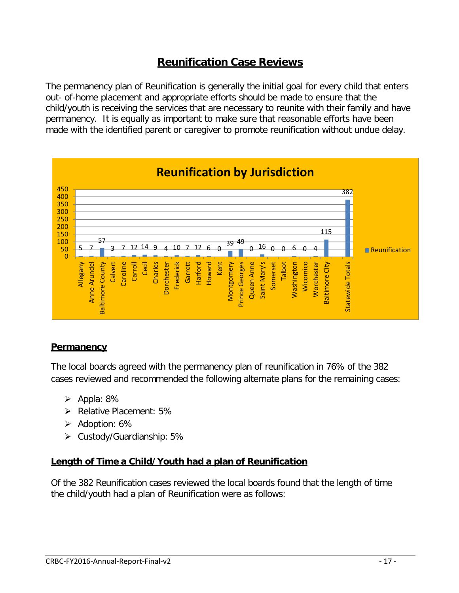# **Reunification Case Reviews**

The permanency plan of Reunification is generally the initial goal for every child that enters out- of-home placement and appropriate efforts should be made to ensure that the child/youth is receiving the services that are necessary to reunite with their family and have permanency. It is equally as important to make sure that reasonable efforts have been made with the identified parent or caregiver to promote reunification without undue delay.



#### **Permanency**

The local boards agreed with the permanency plan of reunification in 76% of the 382 cases reviewed and recommended the following alternate plans for the remaining cases:

- $\triangleright$  Appla: 8%
- $\triangleright$  Relative Placement: 5%
- $\triangleright$  Adoption: 6%
- $\triangleright$  Custody/Guardianship: 5%

#### **Length of Time a Child/Youth had a plan of Reunification**

Of the 382 Reunification cases reviewed the local boards found that the length of time the child/youth had a plan of Reunification were as follows: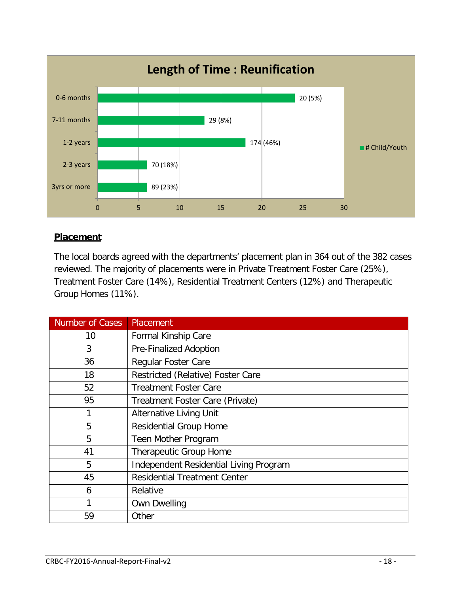

## **Placement**

The local boards agreed with the departments' placement plan in 364 out of the 382 cases reviewed. The majority of placements were in Private Treatment Foster Care (25%), Treatment Foster Care (14%), Residential Treatment Centers (12%) and Therapeutic Group Homes (11%).

| <b>Number of Cases</b> | Placement                              |
|------------------------|----------------------------------------|
| 10                     | Formal Kinship Care                    |
| 3                      | Pre-Finalized Adoption                 |
| 36                     | Regular Foster Care                    |
| 18                     | Restricted (Relative) Foster Care      |
| 52                     | <b>Treatment Foster Care</b>           |
| 95                     | Treatment Foster Care (Private)        |
|                        | <b>Alternative Living Unit</b>         |
| 5                      | <b>Residential Group Home</b>          |
| 5                      | Teen Mother Program                    |
| 41                     | Therapeutic Group Home                 |
| 5                      | Independent Residential Living Program |
| 45                     | <b>Residential Treatment Center</b>    |
| 6                      | Relative                               |
| 1                      | <b>Own Dwelling</b>                    |
| 59                     | Other                                  |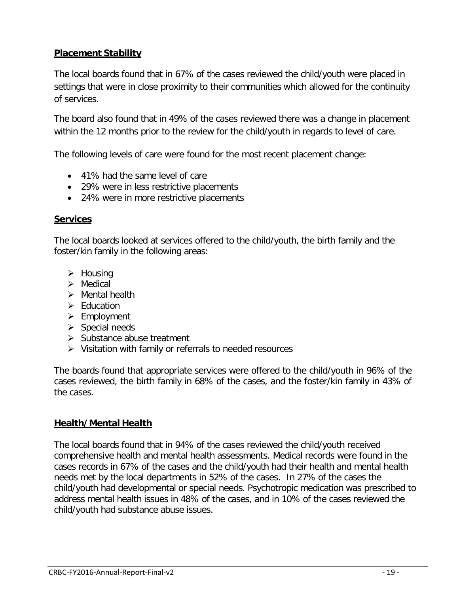## **Placement Stability**

The local boards found that in 67% of the cases reviewed the child/youth were placed in settings that were in close proximity to their communities which allowed for the continuity of services.

The board also found that in 49% of the cases reviewed there was a change in placement within the 12 months prior to the review for the child/youth in regards to level of care.

The following levels of care were found for the most recent placement change:

- 41% had the same level of care
- 29% were in less restrictive placements
- 24% were in more restrictive placements

#### **Services**

The local boards looked at services offered to the child/youth, the birth family and the foster/kin family in the following areas:

- $\triangleright$  Housing
- $\triangleright$  Medical
- $\triangleright$  Mental health
- $\triangleright$  Fducation
- $\triangleright$  Employment
- $\triangleright$  Special needs
- $\triangleright$  Substance abuse treatment
- $\triangleright$  Visitation with family or referrals to needed resources

The boards found that appropriate services were offered to the child/youth in 96% of the cases reviewed, the birth family in 68% of the cases, and the foster/kin family in 43% of the cases.

## **Health/Mental Health**

The local boards found that in 94% of the cases reviewed the child/youth received comprehensive health and mental health assessments. Medical records were found in the cases records in 67% of the cases and the child/youth had their health and mental health needs met by the local departments in 52% of the cases. In 27% of the cases the child/youth had developmental or special needs. Psychotropic medication was prescribed to address mental health issues in 48% of the cases, and in 10% of the cases reviewed the child/youth had substance abuse issues.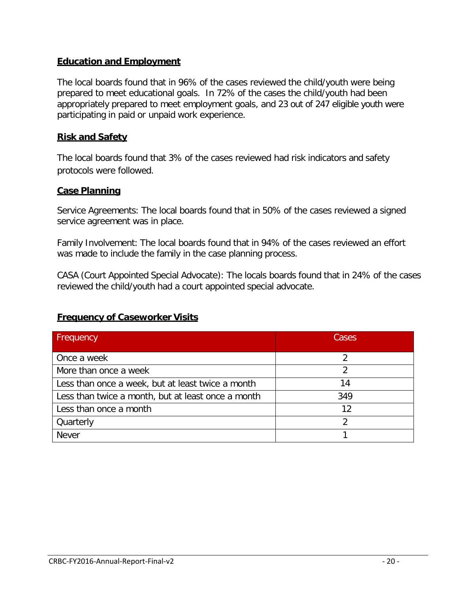#### **Education and Employment**

The local boards found that in 96% of the cases reviewed the child/youth were being prepared to meet educational goals. In 72% of the cases the child/youth had been appropriately prepared to meet employment goals, and 23 out of 247 eligible youth were participating in paid or unpaid work experience.

#### **Risk and Safety**

The local boards found that 3% of the cases reviewed had risk indicators and safety protocols were followed.

#### **Case Planning**

Service Agreements: The local boards found that in 50% of the cases reviewed a signed service agreement was in place.

Family Involvement: The local boards found that in 94% of the cases reviewed an effort was made to include the family in the case planning process.

CASA (Court Appointed Special Advocate): The locals boards found that in 24% of the cases reviewed the child/youth had a court appointed special advocate.

| <b>Frequency</b>                                   | Cases |
|----------------------------------------------------|-------|
| Once a week                                        |       |
| More than once a week                              |       |
| Less than once a week, but at least twice a month  | 14    |
| Less than twice a month, but at least once a month | 349   |
| Less than once a month                             | 12    |
| Quarterly                                          | າ     |
| <b>Never</b>                                       |       |

#### **Frequency of Caseworker Visits**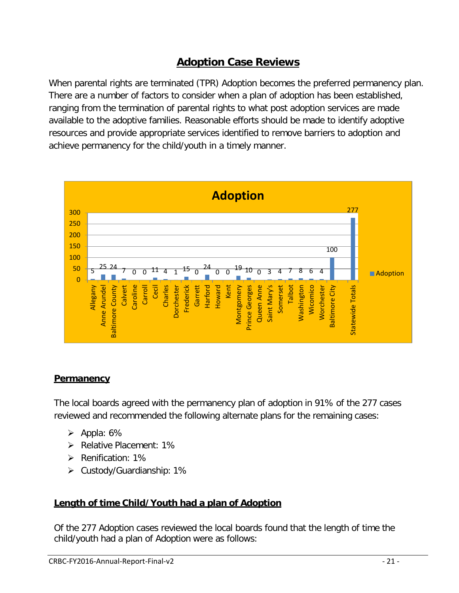# **Adoption Case Reviews**

When parental rights are terminated (TPR) Adoption becomes the preferred permanency plan. There are a number of factors to consider when a plan of adoption has been established, ranging from the termination of parental rights to what post adoption services are made available to the adoptive families. Reasonable efforts should be made to identify adoptive resources and provide appropriate services identified to remove barriers to adoption and achieve permanency for the child/youth in a timely manner.



## **Permanency**

The local boards agreed with the permanency plan of adoption in 91% of the 277 cases reviewed and recommended the following alternate plans for the remaining cases:

- $\triangleright$  Appla: 6%
- ▶ Relative Placement: 1%
- $\triangleright$  Renification: 1%
- $\triangleright$  Custody/Guardianship: 1%

## **Length of time Child/Youth had a plan of Adoption**

Of the 277 Adoption cases reviewed the local boards found that the length of time the child/youth had a plan of Adoption were as follows: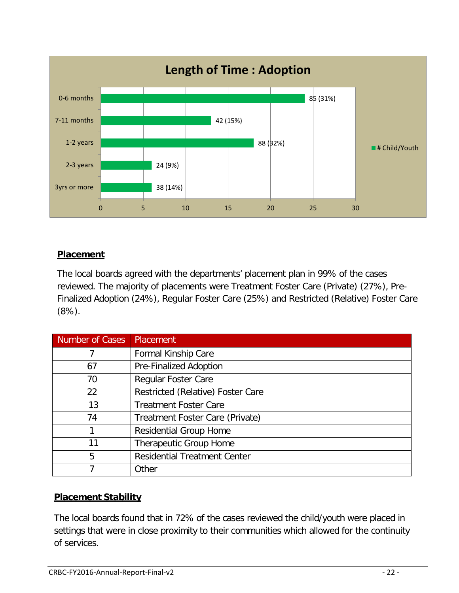

## **Placement**

The local boards agreed with the departments' placement plan in 99% of the cases reviewed. The majority of placements were Treatment Foster Care (Private) (27%), Pre-Finalized Adoption (24%), Regular Foster Care (25%) and Restricted (Relative) Foster Care (8%).

| <b>Number of Cases</b> | Placement                           |
|------------------------|-------------------------------------|
|                        | Formal Kinship Care                 |
| 67                     | <b>Pre-Finalized Adoption</b>       |
| 70                     | Regular Foster Care                 |
| 22                     | Restricted (Relative) Foster Care   |
| 13                     | <b>Treatment Foster Care</b>        |
| 74                     | Treatment Foster Care (Private)     |
|                        | <b>Residential Group Home</b>       |
| 11                     | Therapeutic Group Home              |
| 5                      | <b>Residential Treatment Center</b> |
|                        | Other                               |

## **Placement Stability**

The local boards found that in 72% of the cases reviewed the child/youth were placed in settings that were in close proximity to their communities which allowed for the continuity of services.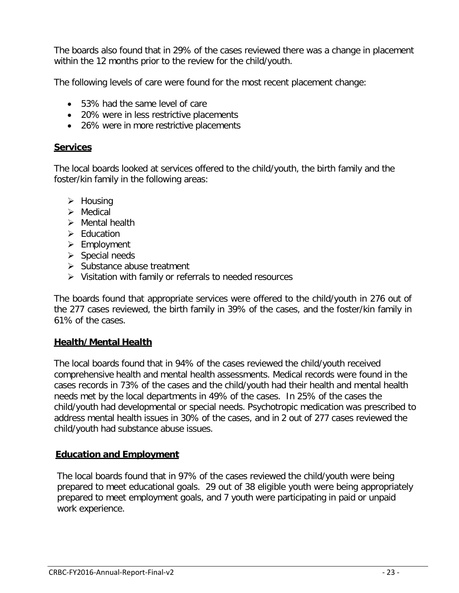The boards also found that in 29% of the cases reviewed there was a change in placement within the 12 months prior to the review for the child/youth.

The following levels of care were found for the most recent placement change:

- 53% had the same level of care
- 20% were in less restrictive placements
- 26% were in more restrictive placements

#### **Services**

The local boards looked at services offered to the child/youth, the birth family and the foster/kin family in the following areas:

- $\triangleright$  Housing
- $\triangleright$  Medical
- $\triangleright$  Mental health
- $\triangleright$  Education
- $\triangleright$  Employment
- $\triangleright$  Special needs
- $\triangleright$  Substance abuse treatment
- $\triangleright$  Visitation with family or referrals to needed resources

The boards found that appropriate services were offered to the child/youth in 276 out of the 277 cases reviewed, the birth family in 39% of the cases, and the foster/kin family in 61% of the cases.

#### **Health/Mental Health**

The local boards found that in 94% of the cases reviewed the child/youth received comprehensive health and mental health assessments. Medical records were found in the cases records in 73% of the cases and the child/youth had their health and mental health needs met by the local departments in 49% of the cases. In 25% of the cases the child/youth had developmental or special needs. Psychotropic medication was prescribed to address mental health issues in 30% of the cases, and in 2 out of 277 cases reviewed the child/youth had substance abuse issues.

#### **Education and Employment**

The local boards found that in 97% of the cases reviewed the child/youth were being prepared to meet educational goals. 29 out of 38 eligible youth were being appropriately prepared to meet employment goals, and 7 youth were participating in paid or unpaid work experience.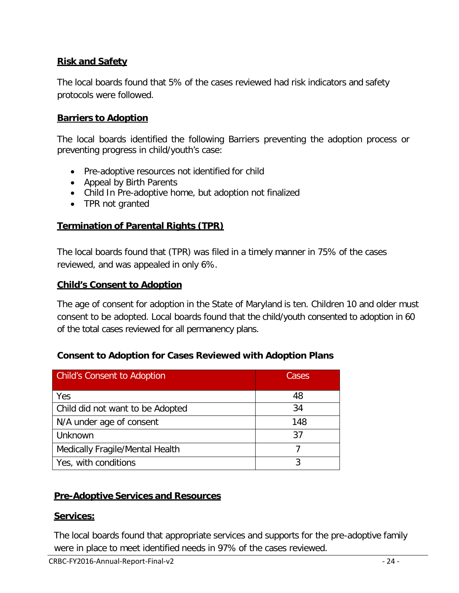### **Risk and Safety**

The local boards found that 5% of the cases reviewed had risk indicators and safety protocols were followed.

#### **Barriers to Adoption**

The local boards identified the following Barriers preventing the adoption process or preventing progress in child/youth's case:

- Pre-adoptive resources not identified for child
- Appeal by Birth Parents
- Child In Pre-adoptive home, but adoption not finalized
- TPR not granted

#### **Termination of Parental Rights (TPR)**

The local boards found that (TPR) was filed in a timely manner in 75% of the cases reviewed, and was appealed in only 6%.

#### **Child's Consent to Adoption**

The age of consent for adoption in the State of Maryland is ten. Children 10 and older must consent to be adopted. Local boards found that the child/youth consented to adoption in 60 of the total cases reviewed for all permanency plans.

#### **Consent to Adoption for Cases Reviewed with Adoption Plans**

| <b>Child's Consent to Adoption</b> | Cases |
|------------------------------------|-------|
| Yes                                | 48    |
| Child did not want to be Adopted   | 34    |
| N/A under age of consent           | 148   |
| Unknown                            | 37    |
| Medically Fragile/Mental Health    |       |
| Yes, with conditions               |       |

#### **Pre-Adoptive Services and Resources**

#### **Services:**

The local boards found that appropriate services and supports for the pre-adoptive family were in place to meet identified needs in 97% of the cases reviewed.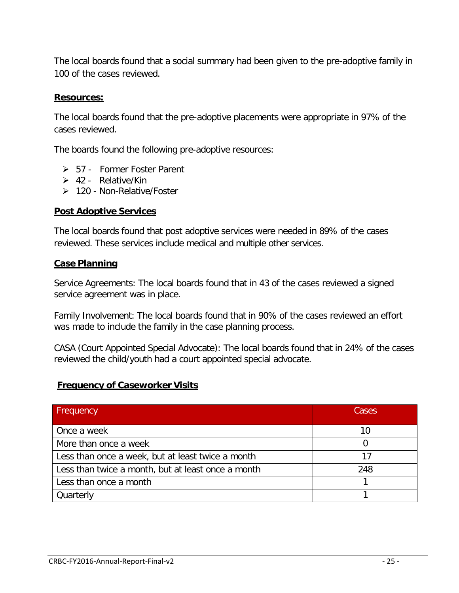The local boards found that a social summary had been given to the pre-adoptive family in 100 of the cases reviewed.

#### **Resources:**

The local boards found that the pre-adoptive placements were appropriate in 97% of the cases reviewed.

The boards found the following pre-adoptive resources:

- 57 Former Foster Parent
- $\geq 42$  Relative/Kin
- 120 Non-Relative/Foster

#### **Post Adoptive Services**

The local boards found that post adoptive services were needed in 89% of the cases reviewed. These services include medical and multiple other services.

#### **Case Planning**

Service Agreements: The local boards found that in 43 of the cases reviewed a signed service agreement was in place.

Family Involvement: The local boards found that in 90% of the cases reviewed an effort was made to include the family in the case planning process.

CASA (Court Appointed Special Advocate): The local boards found that in 24% of the cases reviewed the child/youth had a court appointed special advocate.

#### **Frequency of Caseworker Visits**

| <b>Frequency</b>                                   | Cases |
|----------------------------------------------------|-------|
| Once a week                                        | 10    |
| More than once a week                              |       |
| Less than once a week, but at least twice a month  | 17    |
| Less than twice a month, but at least once a month | 248   |
| Less than once a month                             |       |
| Quarterly                                          |       |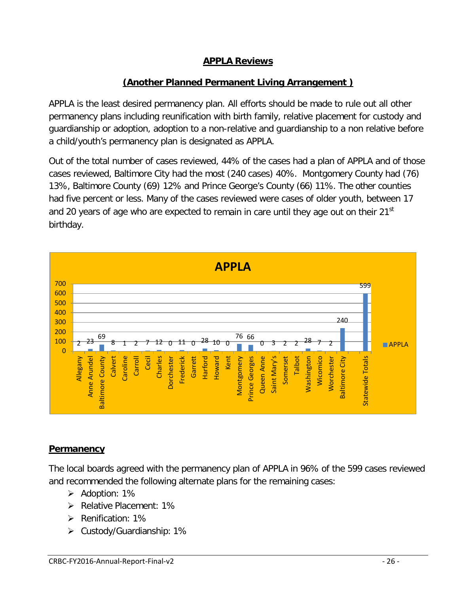## **APPLA Reviews**

## **(Another Planned Permanent Living Arrangement )**

APPLA is the least desired permanency plan. All efforts should be made to rule out all other permanency plans including reunification with birth family, relative placement for custody and guardianship or adoption, adoption to a non-relative and guardianship to a non relative before a child/youth's permanency plan is designated as APPLA.

Out of the total number of cases reviewed, 44% of the cases had a plan of APPLA and of those cases reviewed, Baltimore City had the most (240 cases) 40%. Montgomery County had (76) 13%, Baltimore County (69) 12% and Prince George's County (66) 11%. The other counties had five percent or less. Many of the cases reviewed were cases of older youth, between 17 and 20 years of age who are expected to remain in care until they age out on their  $21<sup>st</sup>$ birthday.



#### **Permanency**

The local boards agreed with the permanency plan of APPLA in 96% of the 599 cases reviewed and recommended the following alternate plans for the remaining cases:

- Adoption: 1%
- $\triangleright$  Relative Placement: 1%
- $\triangleright$  Renification: 1%
- $\triangleright$  Custody/Guardianship: 1%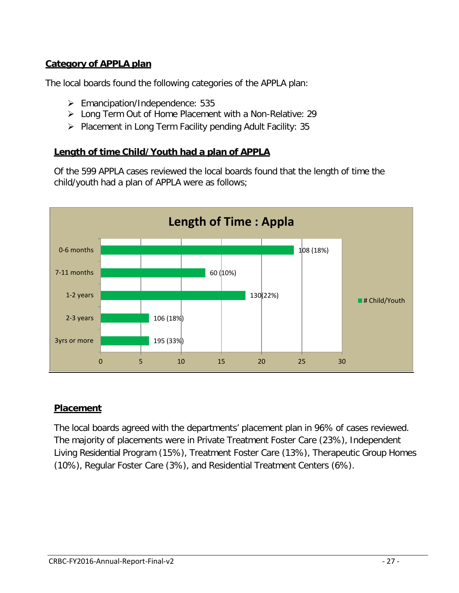## **Category of APPLA plan**

The local boards found the following categories of the APPLA plan:

- Emancipation/Independence: 535
- Long Term Out of Home Placement with a Non-Relative: 29
- $\triangleright$  Placement in Long Term Facility pending Adult Facility: 35

#### **Length of time Child/Youth had a plan of APPLA**

Of the 599 APPLA cases reviewed the local boards found that the length of time the child/youth had a plan of APPLA were as follows;



#### **Placement**

The local boards agreed with the departments' placement plan in 96% of cases reviewed. The majority of placements were in Private Treatment Foster Care (23%), Independent Living Residential Program (15%), Treatment Foster Care (13%), Therapeutic Group Homes (10%), Regular Foster Care (3%), and Residential Treatment Centers (6%).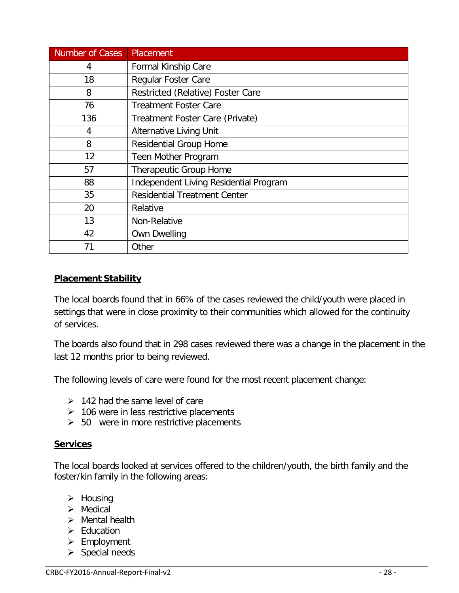| <b>Number of Cases</b> | Placement                              |
|------------------------|----------------------------------------|
| 4                      | Formal Kinship Care                    |
| 18                     | <b>Regular Foster Care</b>             |
| 8                      | Restricted (Relative) Foster Care      |
| 76                     | Treatment Foster Care                  |
| 136                    | Treatment Foster Care (Private)        |
| 4                      | <b>Alternative Living Unit</b>         |
| 8                      | <b>Residential Group Home</b>          |
| 12                     | Teen Mother Program                    |
| 57                     | <b>Therapeutic Group Home</b>          |
| 88                     | Independent Living Residential Program |
| 35                     | <b>Residential Treatment Center</b>    |
| 20                     | Relative                               |
| 13                     | Non-Relative                           |
| 42                     | <b>Own Dwelling</b>                    |
| 71                     | Other                                  |

#### **Placement Stability**

The local boards found that in 66% of the cases reviewed the child/youth were placed in settings that were in close proximity to their communities which allowed for the continuity of services.

The boards also found that in 298 cases reviewed there was a change in the placement in the last 12 months prior to being reviewed.

The following levels of care were found for the most recent placement change:

- $\geq$  142 had the same level of care
- $\geq$  106 were in less restrictive placements
- $\geq$  50 were in more restrictive placements

#### **Services**

The local boards looked at services offered to the children/youth, the birth family and the foster/kin family in the following areas:

- $\triangleright$  Housing
- $\triangleright$  Medical
- $\triangleright$  Mental health
- $\triangleright$  Education
- $\triangleright$  Employment
- $\triangleright$  Special needs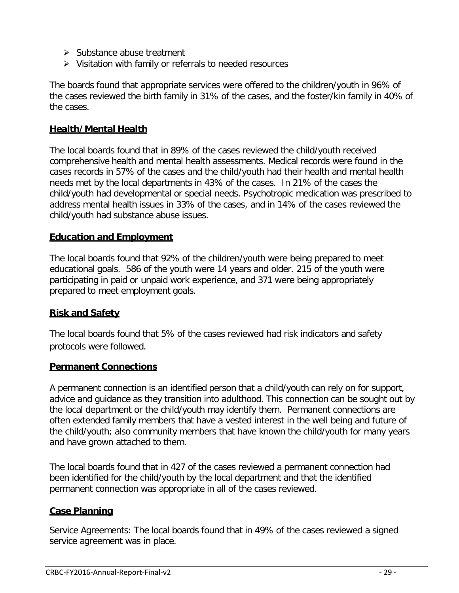- $\triangleright$  Substance abuse treatment
- $\triangleright$  Visitation with family or referrals to needed resources

The boards found that appropriate services were offered to the children/youth in 96% of the cases reviewed the birth family in 31% of the cases, and the foster/kin family in 40% of the cases.

#### **Health/Mental Health**

The local boards found that in 89% of the cases reviewed the child/youth received comprehensive health and mental health assessments. Medical records were found in the cases records in 57% of the cases and the child/youth had their health and mental health needs met by the local departments in 43% of the cases. In 21% of the cases the child/youth had developmental or special needs. Psychotropic medication was prescribed to address mental health issues in 33% of the cases, and in 14% of the cases reviewed the child/youth had substance abuse issues.

#### **Education and Employment**

The local boards found that 92% of the children/youth were being prepared to meet educational goals. 586 of the youth were 14 years and older. 215 of the youth were participating in paid or unpaid work experience, and 371 were being appropriately prepared to meet employment goals.

#### **Risk and Safety**

The local boards found that 5% of the cases reviewed had risk indicators and safety protocols were followed.

#### **Permanent Connections**

A permanent connection is an identified person that a child/youth can rely on for support, advice and guidance as they transition into adulthood. This connection can be sought out by the local department or the child/youth may identify them. Permanent connections are often extended family members that have a vested interest in the well being and future of the child/youth; also community members that have known the child/youth for many years and have grown attached to them.

The local boards found that in 427 of the cases reviewed a permanent connection had been identified for the child/youth by the local department and that the identified permanent connection was appropriate in all of the cases reviewed.

#### **Case Planning**

Service Agreements: The local boards found that in 49% of the cases reviewed a signed service agreement was in place.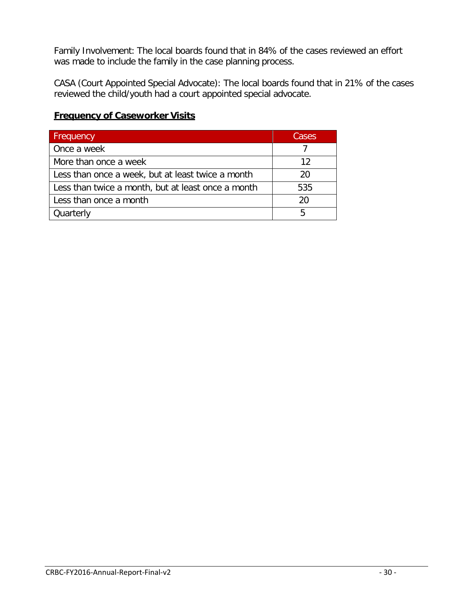Family Involvement: The local boards found that in 84% of the cases reviewed an effort was made to include the family in the case planning process.

CASA (Court Appointed Special Advocate): The local boards found that in 21% of the cases reviewed the child/youth had a court appointed special advocate.

| Frequency                                          | Cases |
|----------------------------------------------------|-------|
| Once a week                                        |       |
| More than once a week                              | 12    |
| Less than once a week, but at least twice a month  | 20    |
| Less than twice a month, but at least once a month | 535   |
| Less than once a month                             | 20    |
| Quarterly                                          | 5     |

#### **Frequency of Caseworker Visits**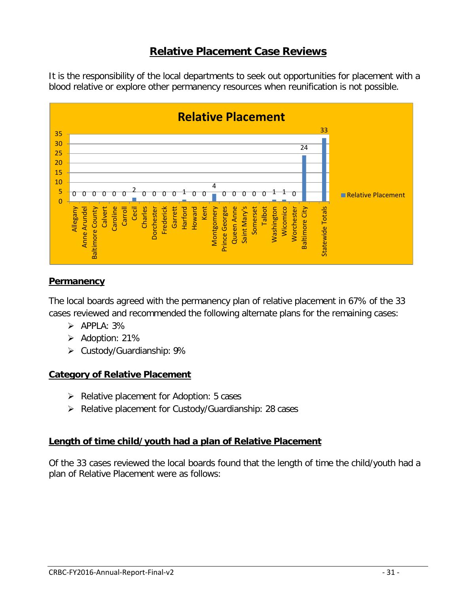# **Relative Placement Case Reviews**

It is the responsibility of the local departments to seek out opportunities for placement with a blood relative or explore other permanency resources when reunification is not possible.



#### **Permanency**

The local boards agreed with the permanency plan of relative placement in 67% of the 33 cases reviewed and recommended the following alternate plans for the remaining cases:

- $\triangleright$  APPLA: 3%
- $\triangleright$  Adoption: 21%
- $\triangleright$  Custody/Guardianship: 9%

#### **Category of Relative Placement**

- $\triangleright$  Relative placement for Adoption: 5 cases
- $\triangleright$  Relative placement for Custody/Guardianship: 28 cases

#### **Length of time child/youth had a plan of Relative Placement**

Of the 33 cases reviewed the local boards found that the length of time the child/youth had a plan of Relative Placement were as follows: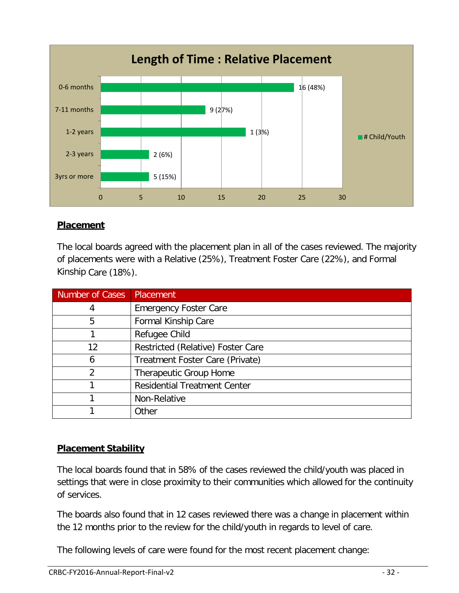

## **Placement**

The local boards agreed with the placement plan in all of the cases reviewed. The majority of placements were with a Relative (25%), Treatment Foster Care (22%), and Formal Kinship Care (18%).

| Number of Cases | Placement                           |
|-----------------|-------------------------------------|
| 4               | <b>Emergency Foster Care</b>        |
| 5               | Formal Kinship Care                 |
|                 | Refugee Child                       |
| 12              | Restricted (Relative) Foster Care   |
| 6               | Treatment Foster Care (Private)     |
| っ               | <b>Therapeutic Group Home</b>       |
|                 | <b>Residential Treatment Center</b> |
|                 | Non-Relative                        |
|                 | Other                               |

## **Placement Stability**

The local boards found that in 58% of the cases reviewed the child/youth was placed in settings that were in close proximity to their communities which allowed for the continuity of services.

The boards also found that in 12 cases reviewed there was a change in placement within the 12 months prior to the review for the child/youth in regards to level of care.

The following levels of care were found for the most recent placement change: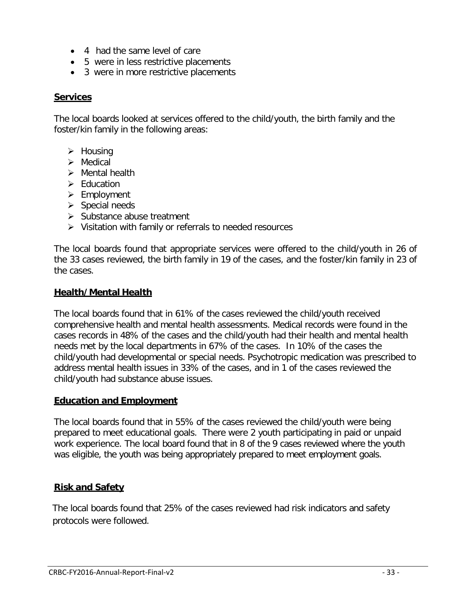- 4 had the same level of care
- 5 were in less restrictive placements
- 3 were in more restrictive placements

#### **Services**

The local boards looked at services offered to the child/youth, the birth family and the foster/kin family in the following areas:

- $\triangleright$  Housing
- > Medical
- $\triangleright$  Mental health
- $\triangleright$  Fducation
- $\triangleright$  Employment
- $\triangleright$  Special needs
- $\triangleright$  Substance abuse treatment
- $\triangleright$  Visitation with family or referrals to needed resources

The local boards found that appropriate services were offered to the child/youth in 26 of the 33 cases reviewed, the birth family in 19 of the cases, and the foster/kin family in 23 of the cases.

#### **Health/Mental Health**

The local boards found that in 61% of the cases reviewed the child/youth received comprehensive health and mental health assessments. Medical records were found in the cases records in 48% of the cases and the child/youth had their health and mental health needs met by the local departments in 67% of the cases. In 10% of the cases the child/youth had developmental or special needs. Psychotropic medication was prescribed to address mental health issues in 33% of the cases, and in 1 of the cases reviewed the child/youth had substance abuse issues.

#### **Education and Employment**

The local boards found that in 55% of the cases reviewed the child/youth were being prepared to meet educational goals. There were 2 youth participating in paid or unpaid work experience. The local board found that in 8 of the 9 cases reviewed where the youth was eligible, the youth was being appropriately prepared to meet employment goals.

#### **Risk and Safety**

The local boards found that 25% of the cases reviewed had risk indicators and safety protocols were followed.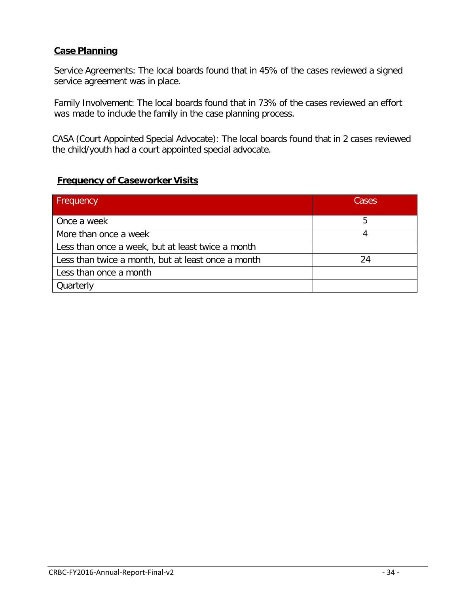#### **Case Planning**

Service Agreements: The local boards found that in 45% of the cases reviewed a signed service agreement was in place.

Family Involvement: The local boards found that in 73% of the cases reviewed an effort was made to include the family in the case planning process.

CASA (Court Appointed Special Advocate): The local boards found that in 2 cases reviewed the child/youth had a court appointed special advocate.

## **Frequency of Caseworker Visits**

| Frequency                                          | Cases |
|----------------------------------------------------|-------|
| Once a week                                        | 5     |
| More than once a week                              |       |
| Less than once a week, but at least twice a month  |       |
| Less than twice a month, but at least once a month | 24    |
| Less than once a month                             |       |
| Quarterly                                          |       |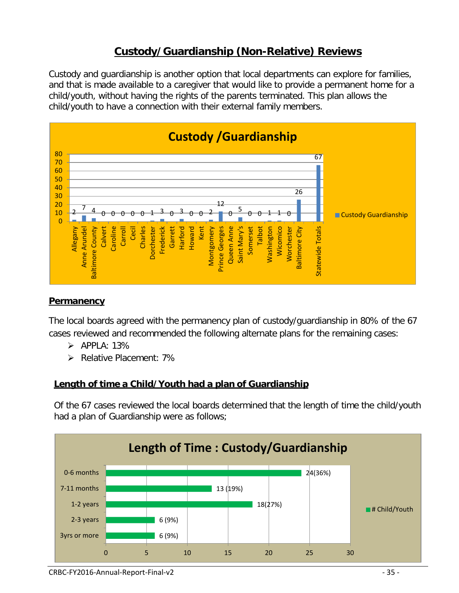# **Custody/Guardianship (Non-Relative) Reviews**

Custody and guardianship is another option that local departments can explore for families, and that is made available to a caregiver that would like to provide a permanent home for a child/youth, without having the rights of the parents terminated. This plan allows the child/youth to have a connection with their external family members.



#### **Permanency**

The local boards agreed with the permanency plan of custody/guardianship in 80% of the 67 cases reviewed and recommended the following alternate plans for the remaining cases:

- $\triangleright$  APPLA: 13%
- Pelative Placement: 7%

## **Length of time a Child/Youth had a plan of Guardianship**

Of the 67 cases reviewed the local boards determined that the length of time the child/youth had a plan of Guardianship were as follows;

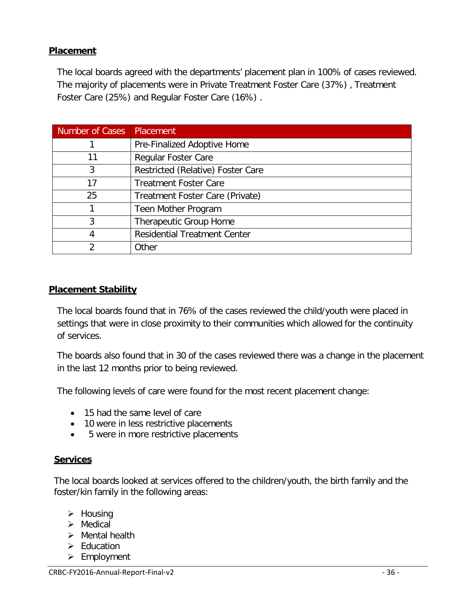### **Placement**

The local boards agreed with the departments' placement plan in 100% of cases reviewed. The majority of placements were in Private Treatment Foster Care (37%) , Treatment Foster Care (25%) and Regular Foster Care (16%) .

| Number of Cases | Placement                           |
|-----------------|-------------------------------------|
|                 | Pre-Finalized Adoptive Home         |
| 11              | <b>Regular Foster Care</b>          |
| 3               | Restricted (Relative) Foster Care   |
| 17              | <b>Treatment Foster Care</b>        |
| 25              | Treatment Foster Care (Private)     |
|                 | Teen Mother Program                 |
| 3               | Therapeutic Group Home              |
| 4               | <b>Residential Treatment Center</b> |
|                 | Other                               |

#### **Placement Stability**

The local boards found that in 76% of the cases reviewed the child/youth were placed in settings that were in close proximity to their communities which allowed for the continuity of services.

The boards also found that in 30 of the cases reviewed there was a change in the placement in the last 12 months prior to being reviewed.

The following levels of care were found for the most recent placement change:

- 15 had the same level of care
- 10 were in less restrictive placements
- 5 were in more restrictive placements

#### **Services**

The local boards looked at services offered to the children/youth, the birth family and the foster/kin family in the following areas:

- $\triangleright$  Housing
- $\triangleright$  Medical
- $\triangleright$  Mental health
- $\triangleright$  Education
- $\triangleright$  Employment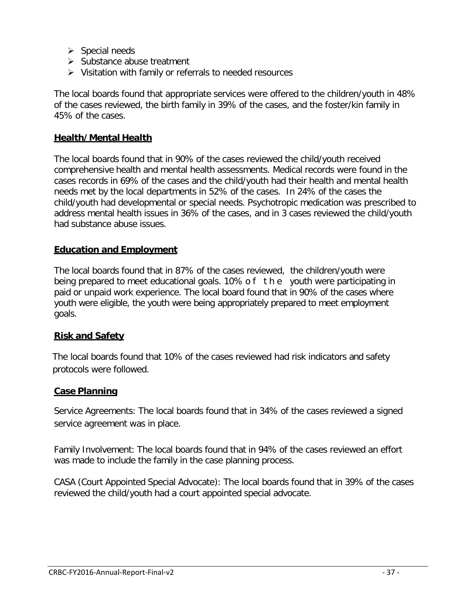- $\triangleright$  Special needs
- $\triangleright$  Substance abuse treatment
- $\triangleright$  Visitation with family or referrals to needed resources

The local boards found that appropriate services were offered to the children/youth in 48% of the cases reviewed, the birth family in 39% of the cases, and the foster/kin family in 45% of the cases.

#### **Health/Mental Health**

The local boards found that in 90% of the cases reviewed the child/youth received comprehensive health and mental health assessments. Medical records were found in the cases records in 69% of the cases and the child/youth had their health and mental health needs met by the local departments in 52% of the cases. In 24% of the cases the child/youth had developmental or special needs. Psychotropic medication was prescribed to address mental health issues in 36% of the cases, and in 3 cases reviewed the child/youth had substance abuse issues.

#### **Education and Employment**

The local boards found that in 87% of the cases reviewed, the children/youth were being prepared to meet educational goals. 10% of the youth were participating in paid or unpaid work experience. The local board found that in 90% of the cases where youth were eligible, the youth were being appropriately prepared to meet employment goals.

## **Risk and Safety**

The local boards found that 10% of the cases reviewed had risk indicators and safety protocols were followed.

#### **Case Planning**

Service Agreements: The local boards found that in 34% of the cases reviewed a signed service agreement was in place.

Family Involvement: The local boards found that in 94% of the cases reviewed an effort was made to include the family in the case planning process.

CASA (Court Appointed Special Advocate): The local boards found that in 39% of the cases reviewed the child/youth had a court appointed special advocate.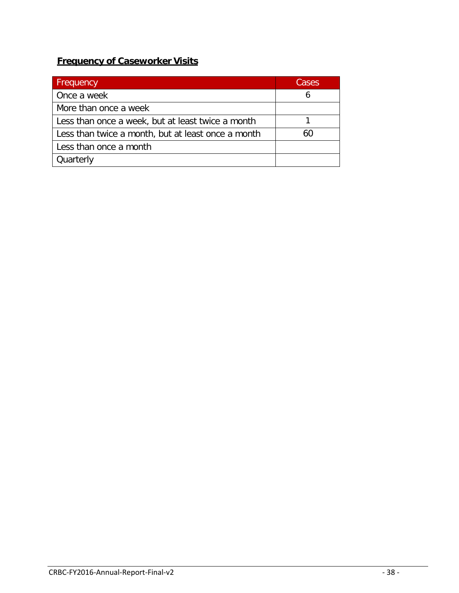## **Frequency of Caseworker Visits**

| <b>Frequency</b>                                   | Cases |
|----------------------------------------------------|-------|
| Once a week                                        | b     |
| More than once a week                              |       |
| Less than once a week, but at least twice a month  |       |
| Less than twice a month, but at least once a month | 60    |
| Less than once a month                             |       |
| Quarterly                                          |       |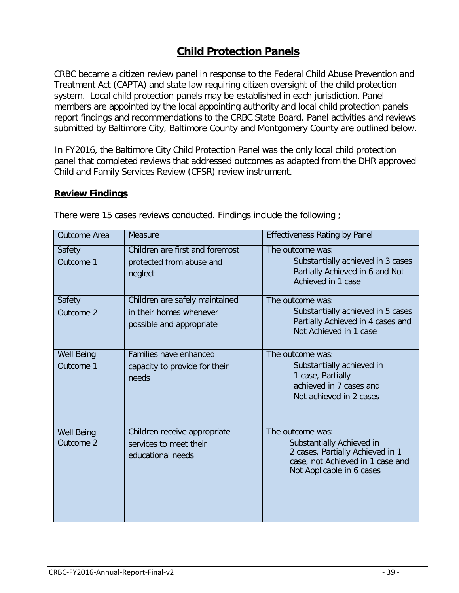# **Child Protection Panels**

CRBC became a citizen review panel in response to the Federal Child Abuse Prevention and Treatment Act (CAPTA) and state law requiring citizen oversight of the child protection system. Local child protection panels may be established in each jurisdiction. Panel members are appointed by the local appointing authority and local child protection panels report findings and recommendations to the CRBC State Board. Panel activities and reviews submitted by Baltimore City, Baltimore County and Montgomery County are outlined below.

In FY2016, the Baltimore City Child Protection Panel was the only local child protection panel that completed reviews that addressed outcomes as adapted from the DHR approved Child and Family Services Review (CFSR) review instrument.

#### **Review Findings**

| Outcome Area                   | Measure                                                                               | <b>Effectiveness Rating by Panel</b>                                                                                                               |
|--------------------------------|---------------------------------------------------------------------------------------|----------------------------------------------------------------------------------------------------------------------------------------------------|
| Safety<br>Outcome 1            | Children are first and foremost<br>protected from abuse and<br>neglect                | The outcome was:<br>Substantially achieved in 3 cases<br>Partially Achieved in 6 and Not<br>Achieved in 1 case                                     |
| Safety<br>Outcome 2            | Children are safely maintained<br>in their homes whenever<br>possible and appropriate | The outcome was:<br>Substantially achieved in 5 cases<br>Partially Achieved in 4 cases and<br>Not Achieved in 1 case                               |
| <b>Well Being</b><br>Outcome 1 | Families have enhanced<br>capacity to provide for their<br>needs                      | The outcome was:<br>Substantially achieved in<br>1 case, Partially<br>achieved in 7 cases and<br>Not achieved in 2 cases                           |
| <b>Well Being</b><br>Outcome 2 | Children receive appropriate<br>services to meet their<br>educational needs           | The outcome was:<br>Substantially Achieved in<br>2 cases, Partially Achieved in 1<br>case, not Achieved in 1 case and<br>Not Applicable in 6 cases |

There were 15 cases reviews conducted. Findings include the following ;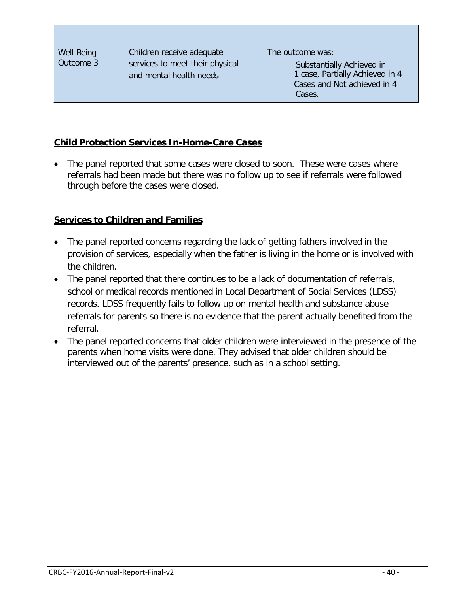| Well Being<br>Outcome 3 | Children receive adequate<br>services to meet their physical<br>and mental health needs | The outcome was:<br>Substantially Achieved in<br>1 case, Partially Achieved in 4<br>Cases and Not achieved in 4<br>Cases. |
|-------------------------|-----------------------------------------------------------------------------------------|---------------------------------------------------------------------------------------------------------------------------|
|-------------------------|-----------------------------------------------------------------------------------------|---------------------------------------------------------------------------------------------------------------------------|

#### **Child Protection Services In-Home-Care Cases**

The panel reported that some cases were closed to soon. These were cases where referrals had been made but there was no follow up to see if referrals were followed through before the cases were closed.

#### **Services to Children and Families**

- The panel reported concerns regarding the lack of getting fathers involved in the provision of services, especially when the father is living in the home or is involved with the children.
- The panel reported that there continues to be a lack of documentation of referrals, school or medical records mentioned in Local Department of Social Services (LDSS) records. LDSS frequently fails to follow up on mental health and substance abuse referrals for parents so there is no evidence that the parent actually benefited from the referral.
- The panel reported concerns that older children were interviewed in the presence of the parents when home visits were done. They advised that older children should be interviewed out of the parents' presence, such as in a school setting.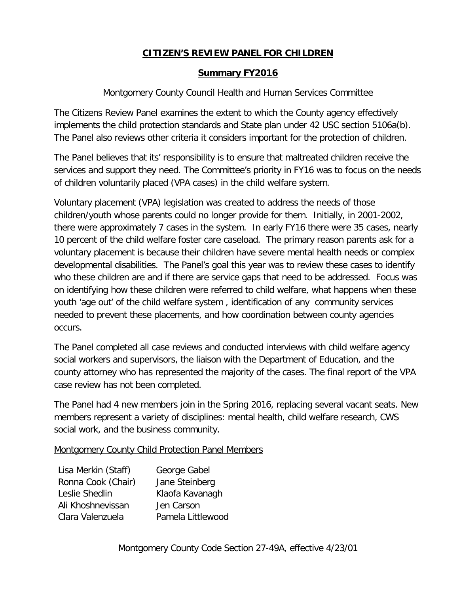## **CITIZEN'S REVIEW PANEL FOR CHILDREN**

#### **Summary FY2016**

#### Montgomery County Council Health and Human Services Committee

The Citizens Review Panel examines the extent to which the County agency effectively implements the child protection standards and State plan under 42 USC section 5106a(b). The Panel also reviews other criteria it considers important for the protection of children.

The Panel believes that its' responsibility is to ensure that maltreated children receive the services and support they need. The Committee's priority in FY16 was to focus on the needs of children voluntarily placed (VPA cases) in the child welfare system.

Voluntary placement (VPA) legislation was created to address the needs of those children/youth whose parents could no longer provide for them. Initially, in 2001-2002, there were approximately 7 cases in the system. In early FY16 there were 35 cases, nearly 10 percent of the child welfare foster care caseload. The primary reason parents ask for a voluntary placement is because their children have severe mental health needs or complex developmental disabilities. The Panel's goal this year was to review these cases to identify who these children are and if there are service gaps that need to be addressed. Focus was on identifying how these children were referred to child welfare, what happens when these youth 'age out' of the child welfare system , identification of any community services needed to prevent these placements, and how coordination between county agencies occurs.

The Panel completed all case reviews and conducted interviews with child welfare agency social workers and supervisors, the liaison with the Department of Education, and the county attorney who has represented the majority of the cases. The final report of the VPA case review has not been completed.

The Panel had 4 new members join in the Spring 2016, replacing several vacant seats. New members represent a variety of disciplines: mental health, child welfare research, CWS social work, and the business community.

Montgomery County Child Protection Panel Members

| Lisa Merkin (Staff) | George Gabel      |
|---------------------|-------------------|
| Ronna Cook (Chair)  | Jane Steinberg    |
| Leslie Shedlin      | Klaofa Kavanagh   |
| Ali Khoshnevissan   | Jen Carson        |
| Clara Valenzuela    | Pamela Littlewood |

#### Montgomery County Code Section 27-49A, effective 4/23/01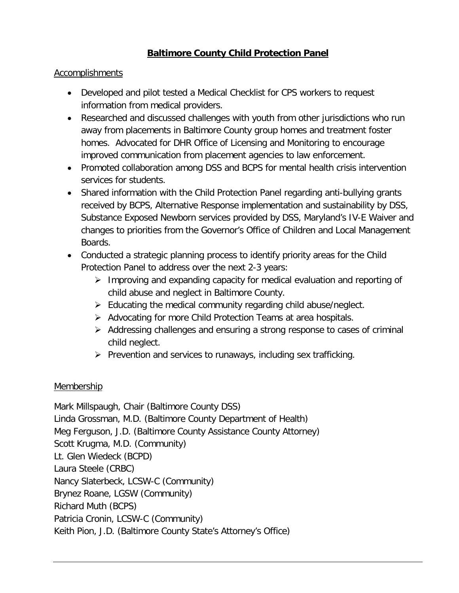## **Baltimore County Child Protection Panel**

#### **Accomplishments**

- Developed and pilot tested a Medical Checklist for CPS workers to request information from medical providers.
- Researched and discussed challenges with youth from other jurisdictions who run away from placements in Baltimore County group homes and treatment foster homes. Advocated for DHR Office of Licensing and Monitoring to encourage improved communication from placement agencies to law enforcement.
- Promoted collaboration among DSS and BCPS for mental health crisis intervention services for students.
- Shared information with the Child Protection Panel regarding anti-bullying grants received by BCPS, Alternative Response implementation and sustainability by DSS, Substance Exposed Newborn services provided by DSS, Maryland's IV-E Waiver and changes to priorities from the Governor's Office of Children and Local Management Boards.
- Conducted a strategic planning process to identify priority areas for the Child Protection Panel to address over the next 2-3 years:
	- $\triangleright$  Improving and expanding capacity for medical evaluation and reporting of child abuse and neglect in Baltimore County.
	- $\triangleright$  Educating the medical community regarding child abuse/neglect.
	- $\triangleright$  Advocating for more Child Protection Teams at area hospitals.
	- $\triangleright$  Addressing challenges and ensuring a strong response to cases of criminal child neglect.
	- $\triangleright$  Prevention and services to runaways, including sex trafficking.

#### Membership

Mark Millspaugh, Chair (Baltimore County DSS) Linda Grossman, M.D. (Baltimore County Department of Health) Meg Ferguson, J.D. (Baltimore County Assistance County Attorney) Scott Krugma, M.D. (Community) Lt. Glen Wiedeck (BCPD) Laura Steele (CRBC) Nancy Slaterbeck, LCSW-C (Community) Brynez Roane, LGSW (Community) Richard Muth (BCPS) Patricia Cronin, LCSW-C (Community) Keith Pion, J.D. (Baltimore County State's Attorney's Office)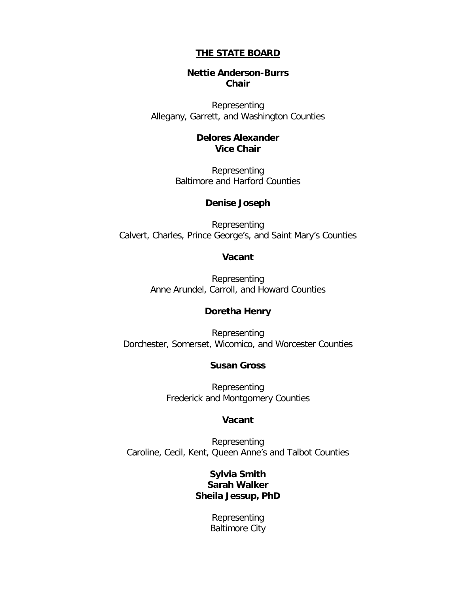#### **THE STATE BOARD**

#### **Nettie Anderson-Burrs Chair**

Representing Allegany, Garrett, and Washington Counties

#### **Delores Alexander Vice Chair**

Representing Baltimore and Harford Counties

#### **Denise Joseph**

Representing Calvert, Charles, Prince George's, and Saint Mary's Counties

#### **Vacant**

Representing Anne Arundel, Carroll, and Howard Counties

#### **Doretha Henry**

Representing Dorchester, Somerset, Wicomico, and Worcester Counties

#### **Susan Gross**

Representing Frederick and Montgomery Counties

#### **Vacant**

Representing Caroline, Cecil, Kent, Queen Anne's and Talbot Counties

#### **Sylvia Smith Sarah Walker Sheila Jessup, PhD**

Representing Baltimore City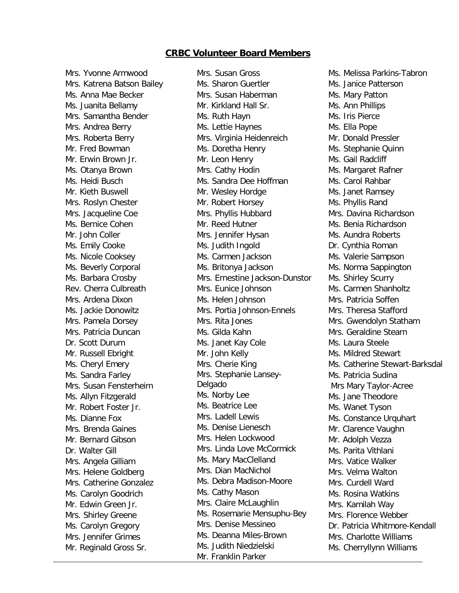#### **CRBC Volunteer Board Members**

Mrs. Yvonne Armwood Mrs. Katrena Batson Bailey Ms. Anna Mae Becker Ms. Juanita Bellamy Mrs. Samantha Bender Mrs. Andrea Berry Mrs. Roberta Berry Mr. Fred Bowman Mr. Erwin Brown Jr. Ms. Otanya Brown Ms. Heidi Busch Mr. Kieth Buswell Mrs. Roslyn Chester Mrs. Jacqueline Coe Ms. Bernice Cohen Mr. John Coller Ms. Emily Cooke Ms. Nicole Cooksey Ms. Beverly Corporal Ms. Barbara Crosby Rev. Cherra Culbreath Mrs. Ardena Dixon Ms. Jackie Donowitz Mrs. Pamela Dorsey Mrs. Patricia Duncan Dr. Scott Durum Mr. Russell Ebright Ms. Cheryl Emery Ms. Sandra Farley Mrs. Susan Fensterheim Ms. Allyn Fitzgerald Mr. Robert Foster Jr. Ms. Dianne Fox Mrs. Brenda Gaines Mr. Bernard Gibson Dr. Walter Gill Mrs. Angela Gilliam Mrs. Helene Goldberg Mrs. Catherine Gonzalez Ms. Carolyn Goodrich Mr. Edwin Green Jr. Mrs. Shirley Greene Ms. Carolyn Gregory Mrs. Jennifer Grimes Mr. Reginald Gross Sr.

Mrs. Susan Gross Ms. Sharon Guertler Mrs. Susan Haberman Mr. Kirkland Hall Sr. Ms. Ruth Hayn Ms. Lettie Haynes Mrs. Virginia Heidenreich Ms. Doretha Henry Mr. Leon Henry Mrs. Cathy Hodin Ms. Sandra Dee Hoffman Mr. Wesley Hordge Mr. Robert Horsey Mrs. Phyllis Hubbard Mr. Reed Hutner Mrs. Jennifer Hysan Ms. Judith Ingold Ms. Carmen Jackson Ms. Britonya Jackson Mrs. Ernestine Jackson-Dunston Mrs. Eunice Johnson Ms. Helen Johnson Mrs. Portia Johnson-Ennels Mrs. Rita Jones Ms. Gilda Kahn Ms. Janet Kay Cole Mr. John Kelly Mrs. Cherie King Mrs. Stephanie Lansey-Delgado Ms. Norby Lee Ms. Beatrice Lee Mrs. Ladell Lewis Ms. Denise Lienesch Mrs. Helen Lockwood Mrs. Linda Love McCormick Ms. Mary MacClelland Mrs. Dian MacNichol Ms. Debra Madison-Moore Ms. Cathy Mason Mrs. Claire McLaughlin Ms. Rosemarie Mensuphu-Bey Mrs. Denise Messineo Ms. Deanna Miles-Brown Ms. Judith Niedzielski Mr. Franklin Parker

Ms. Melissa Parkins-Tabron Ms. Janice Patterson Ms. Mary Patton Ms. Ann Phillips Ms. Iris Pierce Ms. Ella Pope Mr. Donald Pressler Ms. Stephanie Quinn Ms. Gail Radcliff Ms. Margaret Rafner Ms. Carol Rahbar Ms. Janet Ramsey Ms. Phyllis Rand Mrs. Davina Richardson Ms. Benia Richardson Ms. Aundra Roberts Dr. Cynthia Roman Ms. Valerie Sampson Ms. Norma Sappington Ms. Shirley Scurry Ms. Carmen Shanholtz Mrs. Patricia Soffen Mrs. Theresa Stafford Mrs. Gwendolyn Statham Mrs. Geraldine Stearn Ms. Laura Steele Ms. Mildred Stewart Ms. Catherine Stewart-Barksdal Ms. Patricia Sudina Mrs Mary Taylor-Acree Ms. Jane Theodore Ms. Wanet Tyson Ms. Constance Urquhart Mr. Clarence Vaughn Mr. Adolph Vezza Ms. Parita Vithlani Mrs. Vatice Walker Mrs. Velma Walton Mrs. Curdell Ward Ms. Rosina Watkins Mrs. Kamilah Way Mrs. Florence Webber Dr. Patricia Whitmore-Kendall Mrs. Charlotte Williams Ms. Cherryllynn Williams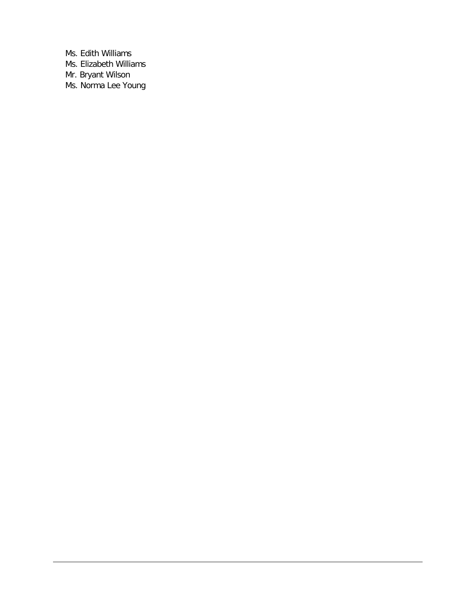Ms. Edith Williams Ms. Elizabeth Williams Mr. Bryant Wilson Ms. Norma Lee Young